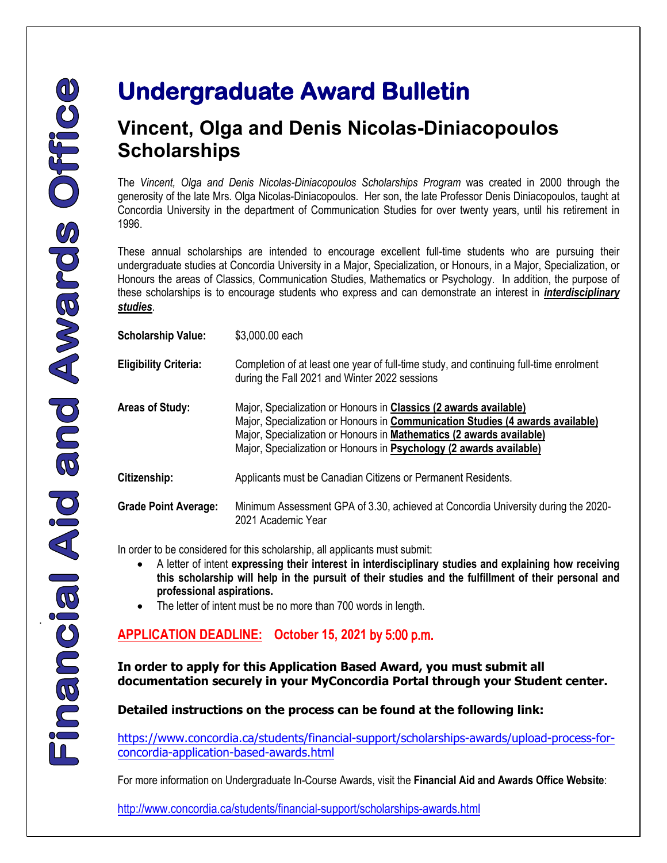.

## **Undergraduate Award Bulletin**

## **Vincent, Olga and Denis Nicolas-Diniacopoulos Scholarships**

The *Vincent, Olga and Denis Nicolas-Diniacopoulos Scholarships Program* was created in 2000 through the generosity of the late Mrs. Olga Nicolas-Diniacopoulos. Her son, the late Professor Denis Diniacopoulos, taught at Concordia University in the department of Communication Studies for over twenty years, until his retirement in 1996.

These annual scholarships are intended to encourage excellent full-time students who are pursuing their undergraduate studies at Concordia University in a Major, Specialization, or Honours, in a Major, Specialization, or Honours the areas of Classics, Communication Studies, Mathematics or Psychology. In addition, the purpose of these scholarships is to encourage students who express and can demonstrate an interest in *interdisciplinary studies*.

| <b>Scholarship Value:</b>    | \$3,000.00 each                                                                                                                                                                                                                                                                                           |
|------------------------------|-----------------------------------------------------------------------------------------------------------------------------------------------------------------------------------------------------------------------------------------------------------------------------------------------------------|
| <b>Eligibility Criteria:</b> | Completion of at least one year of full-time study, and continuing full-time enrolment<br>during the Fall 2021 and Winter 2022 sessions                                                                                                                                                                   |
| <b>Areas of Study:</b>       | Major, Specialization or Honours in Classics (2 awards available)<br>Major, Specialization or Honours in <b>Communication Studies (4 awards available)</b><br>Major, Specialization or Honours in Mathematics (2 awards available)<br>Major, Specialization or Honours in Psychology (2 awards available) |
| Citizenship:                 | Applicants must be Canadian Citizens or Permanent Residents.                                                                                                                                                                                                                                              |
| <b>Grade Point Average:</b>  | Minimum Assessment GPA of 3.30, achieved at Concordia University during the 2020-<br>2021 Academic Year                                                                                                                                                                                                   |

In order to be considered for this scholarship, all applicants must submit:

- A letter of intent **expressing their interest in interdisciplinary studies and explaining how receiving this scholarship will help in the pursuit of their studies and the fulfillment of their personal and professional aspirations.**
- The letter of intent must be no more than 700 words in length.

## **APPLICATION DEADLINE: October 15, 2021** by 5:00 p.m.

**In order to apply for this Application Based Award, you must submit all documentation securely in your MyConcordia Portal through your Student center.**

**Detailed instructions on the process can be found at the following link:**

[https://www.concordia.ca/students/financial-support/scholarships-awards/upload-process-for](https://www.concordia.ca/students/financial-support/scholarships-awards/upload-process-for-concordia-application-based-awards.html)[concordia-application-based-awards.html](https://www.concordia.ca/students/financial-support/scholarships-awards/upload-process-for-concordia-application-based-awards.html)

For more information on Undergraduate In-Course Awards, visit the **Financial Aid and Awards Office Website**:

<http://www.concordia.ca/students/financial-support/scholarships-awards.html>